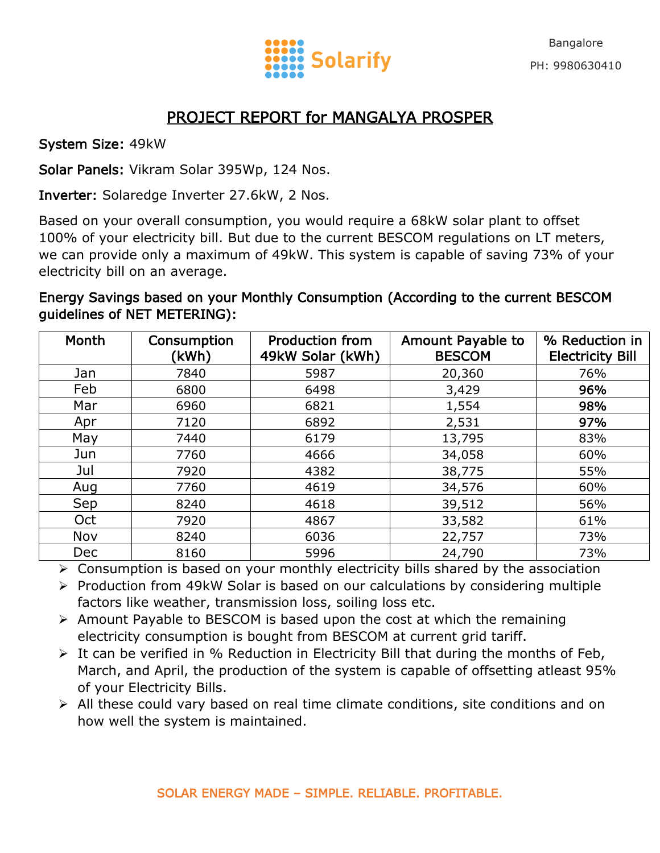

## PROJECT REPORT for MANGALYA PROSPER

System Size: 49kW

Solar Panels: Vikram Solar 395Wp, 124 Nos.

Inverter: Solaredge Inverter 27.6kW, 2 Nos.

Based on your overall consumption, you would require a 68kW solar plant to offset 100% of your electricity bill. But due to the current BESCOM regulations on LT meters, we can provide only a maximum of 49kW. This system is capable of saving 73% of your electricity bill on an average.

Energy Savings based on your Monthly Consumption (According to the current BESCOM guidelines of NET METERING):

| Month      | Consumption<br>(kWh) | <b>Production from</b><br>49kW Solar (kWh) | Amount Payable to<br><b>BESCOM</b> | % Reduction in<br><b>Electricity Bill</b> |
|------------|----------------------|--------------------------------------------|------------------------------------|-------------------------------------------|
| Jan        | 7840                 | 5987                                       | 20,360                             | 76%                                       |
| Feb        | 6800                 | 6498                                       | 3,429                              | 96%                                       |
| Mar        | 6960                 | 6821                                       | 1,554                              | 98%                                       |
| Apr        | 7120                 | 6892                                       | 2,531                              | 97%                                       |
| May        | 7440                 | 6179                                       | 13,795                             | 83%                                       |
| Jun        | 7760                 | 4666                                       | 34,058                             | 60%                                       |
| Jul        | 7920                 | 4382                                       | 38,775                             | 55%                                       |
| Aug        | 7760                 | 4619                                       | 34,576                             | 60%                                       |
| Sep        | 8240                 | 4618                                       | 39,512                             | 56%                                       |
| Oct        | 7920                 | 4867                                       | 33,582                             | 61%                                       |
| Nov        | 8240                 | 6036                                       | 22,757                             | 73%                                       |
| <b>Dec</b> | 8160                 | 5996                                       | 24,790                             | 73%                                       |

Consumption is based on your monthly electricity bills shared by the association

- $\triangleright$  Production from 49kW Solar is based on our calculations by considering multiple factors like weather, transmission loss, soiling loss etc.
- $\triangleright$  Amount Payable to BESCOM is based upon the cost at which the remaining electricity consumption is bought from BESCOM at current grid tariff.
- $\triangleright$  It can be verified in % Reduction in Electricity Bill that during the months of Feb, March, and April, the production of the system is capable of offsetting atleast 95% of your Electricity Bills.
- $\triangleright$  All these could vary based on real time climate conditions, site conditions and on how well the system is maintained.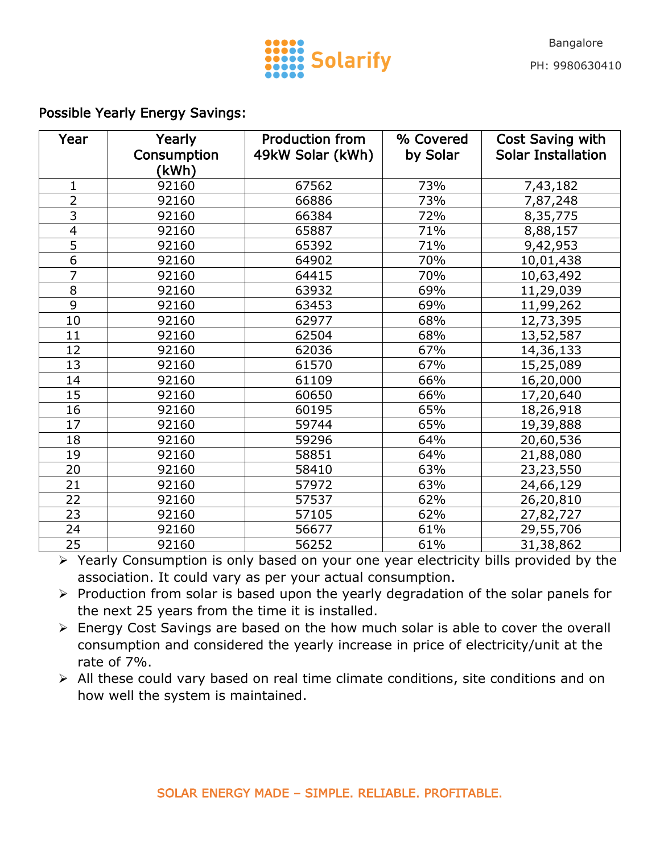

## Possible Yearly Energy Savings:

| Year                     | Yearly<br>Consumption | <b>Production from</b><br>49kW Solar (kWh) | % Covered<br>by Solar | Cost Saving with<br><b>Solar Installation</b> |
|--------------------------|-----------------------|--------------------------------------------|-----------------------|-----------------------------------------------|
|                          | (kWh)                 |                                            |                       |                                               |
| $\mathbf{1}$             | 92160                 | 67562                                      | 73%                   | 7,43,182                                      |
| $\overline{2}$           | 92160                 | 66886                                      | 73%                   | 7,87,248                                      |
| $\overline{3}$           | 92160                 | 66384                                      | 72%                   | 8,35,775                                      |
| $\overline{\mathcal{A}}$ | 92160                 | 65887                                      | 71%                   | 8,88,157                                      |
| $\overline{5}$           | 92160                 | 65392                                      | 71%                   | 9,42,953                                      |
| $\overline{6}$           | 92160                 | 64902                                      | 70%                   | 10,01,438                                     |
| $\overline{7}$           | 92160                 | 64415                                      | 70%                   | 10,63,492                                     |
| 8                        | 92160                 | 63932                                      | 69%                   | 11,29,039                                     |
| $\overline{9}$           | 92160                 | 63453                                      | 69%                   | 11,99,262                                     |
| 10                       | 92160                 | 62977                                      | 68%                   | 12,73,395                                     |
| 11                       | 92160                 | 62504                                      | 68%                   | 13,52,587                                     |
| 12                       | 92160                 | 62036                                      | 67%                   | 14,36,133                                     |
| 13                       | 92160                 | 61570                                      | 67%                   | 15,25,089                                     |
| 14                       | 92160                 | 61109                                      | 66%                   | 16,20,000                                     |
| 15                       | 92160                 | 60650                                      | 66%                   | 17,20,640                                     |
| 16                       | 92160                 | 60195                                      | 65%                   | 18,26,918                                     |
| 17                       | 92160                 | 59744                                      | 65%                   | 19,39,888                                     |
| 18                       | 92160                 | 59296                                      | 64%                   | 20,60,536                                     |
| 19                       | 92160                 | 58851                                      | 64%                   | 21,88,080                                     |
| 20                       | 92160                 | 58410                                      | 63%                   | 23,23,550                                     |
| 21                       | 92160                 | 57972                                      | 63%                   | 24,66,129                                     |
| 22                       | 92160                 | 57537                                      | 62%                   | 26,20,810                                     |
| 23                       | 92160                 | 57105                                      | 62%                   | 27,82,727                                     |
| 24                       | 92160                 | 56677                                      | 61%                   | 29,55,706                                     |
| 25                       | 92160                 | 56252                                      | 61%                   | 31,38,862                                     |

▶ Yearly Consumption is only based on your one year electricity bills provided by the association. It could vary as per your actual consumption.

- $\triangleright$  Production from solar is based upon the yearly degradation of the solar panels for the next 25 years from the time it is installed.
- Energy Cost Savings are based on the how much solar is able to cover the overall consumption and considered the yearly increase in price of electricity/unit at the rate of 7%.
- All these could vary based on real time climate conditions, site conditions and on how well the system is maintained.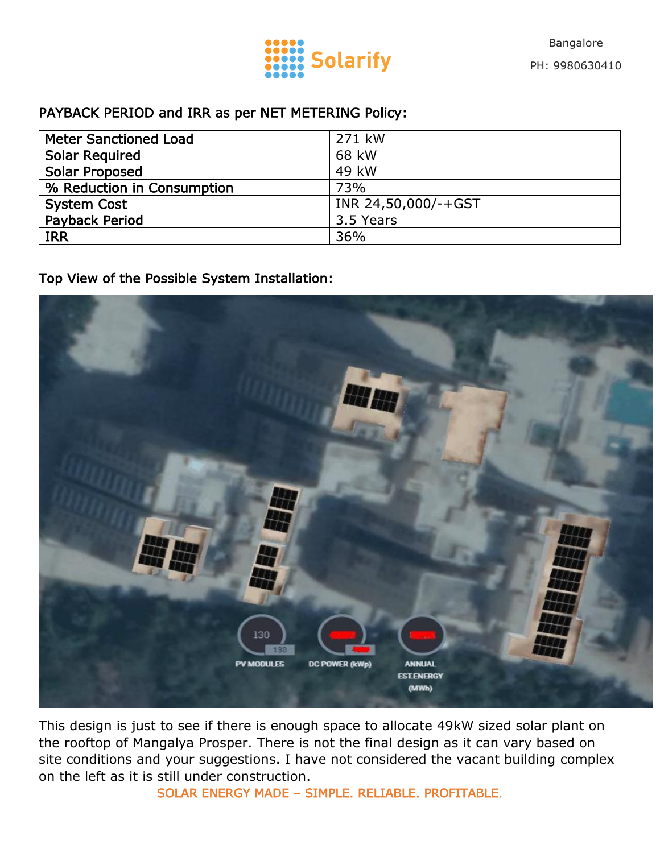

## PAYBACK PERIOD and IRR as per NET METERING Policy:

| <b>Meter Sanctioned Load</b> | 271 kW              |  |
|------------------------------|---------------------|--|
| <b>Solar Required</b>        | 68 kW               |  |
| <b>Solar Proposed</b>        | 49 kW               |  |
| % Reduction in Consumption   | <b>73%</b>          |  |
| <b>System Cost</b>           | INR 24,50,000/-+GST |  |
| <b>Payback Period</b>        | 3.5 Years           |  |
| <b>IRR</b>                   | 36%                 |  |

Top View of the Possible System Installation:



This design is just to see if there is enough space to allocate 49kW sized solar plant on the rooftop of Mangalya Prosper. There is not the final design as it can vary based on site conditions and your suggestions. I have not considered the vacant building complex on the left as it is still under construction.

SOLAR ENERGY MADE – SIMPLE. RELIABLE. PROFITABLE.